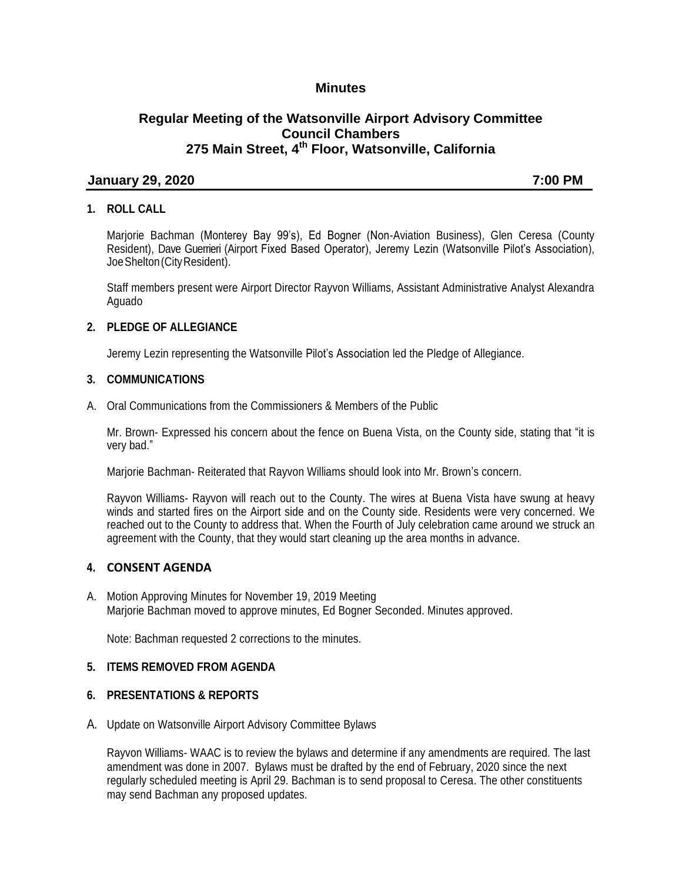## **Minutes**

# **Regular Meeting of the Watsonville Airport Advisory Committee Council Chambers 275 Main Street, 4th Floor, Watsonville, California**

#### **January 29, 2020 7:00 PM**

## **1. ROLL CALL**

Marjorie Bachman (Monterey Bay 99's), Ed Bogner (Non-Aviation Business), Glen Ceresa (County Resident), Dave Guerrieri (Airport Fixed Based Operator), Jeremy Lezin (Watsonville Pilot's Association), JoeShelton(CityResident).

Staff members present were Airport Director Rayvon Williams, Assistant Administrative Analyst Alexandra Aguado

#### **2. PLEDGE OF ALLEGIANCE**

Jeremy Lezin representing the Watsonville Pilot's Association led the Pledge of Allegiance.

#### **3. COMMUNICATIONS**

A. Oral Communications from the Commissioners & Members of the Public

Mr. Brown- Expressed his concern about the fence on Buena Vista, on the County side, stating that "it is very bad."

Marjorie Bachman- Reiterated that Rayvon Williams should look into Mr. Brown's concern.

Rayvon Williams- Rayvon will reach out to the County. The wires at Buena Vista have swung at heavy winds and started fires on the Airport side and on the County side. Residents were very concerned. We reached out to the County to address that. When the Fourth of July celebration came around we struck an agreement with the County, that they would start cleaning up the area months in advance.

#### **4. CONSENT AGENDA**

A. Motion Approving Minutes for November 19, 2019 Meeting Marjorie Bachman moved to approve minutes, Ed Bogner Seconded. Minutes approved.

Note: Bachman requested 2 corrections to the minutes.

### **5. ITEMS REMOVED FROM AGENDA**

#### **6. PRESENTATIONS & REPORTS**

A. Update on Watsonville Airport Advisory Committee Bylaws

Rayvon Williams- WAAC is to review the bylaws and determine if any amendments are required. The last amendment was done in 2007. Bylaws must be drafted by the end of February, 2020 since the next regularly scheduled meeting is April 29. Bachman is to send proposal to Ceresa. The other constituents may send Bachman any proposed updates.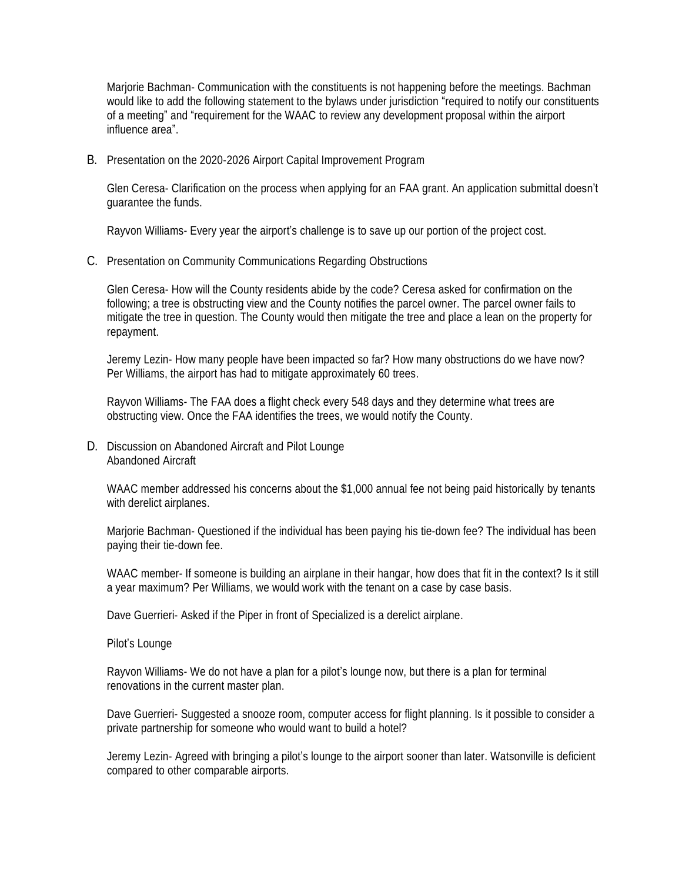Marjorie Bachman- Communication with the constituents is not happening before the meetings. Bachman would like to add the following statement to the bylaws under jurisdiction "required to notify our constituents of a meeting" and "requirement for the WAAC to review any development proposal within the airport influence area".

B. Presentation on the 2020-2026 Airport Capital Improvement Program

Glen Ceresa- Clarification on the process when applying for an FAA grant. An application submittal doesn't guarantee the funds.

Rayvon Williams- Every year the airport's challenge is to save up our portion of the project cost.

C. Presentation on Community Communications Regarding Obstructions

Glen Ceresa- How will the County residents abide by the code? Ceresa asked for confirmation on the following; a tree is obstructing view and the County notifies the parcel owner. The parcel owner fails to mitigate the tree in question. The County would then mitigate the tree and place a lean on the property for repayment.

Jeremy Lezin- How many people have been impacted so far? How many obstructions do we have now? Per Williams, the airport has had to mitigate approximately 60 trees.

Rayvon Williams- The FAA does a flight check every 548 days and they determine what trees are obstructing view. Once the FAA identifies the trees, we would notify the County.

D. Discussion on Abandoned Aircraft and Pilot Lounge Abandoned Aircraft

WAAC member addressed his concerns about the \$1,000 annual fee not being paid historically by tenants with derelict airplanes.

Marjorie Bachman- Questioned if the individual has been paying his tie-down fee? The individual has been paying their tie-down fee.

WAAC member- If someone is building an airplane in their hangar, how does that fit in the context? Is it still a year maximum? Per Williams, we would work with the tenant on a case by case basis.

Dave Guerrieri- Asked if the Piper in front of Specialized is a derelict airplane.

Pilot's Lounge

Rayvon Williams- We do not have a plan for a pilot's lounge now, but there is a plan for terminal renovations in the current master plan.

Dave Guerrieri- Suggested a snooze room, computer access for flight planning. Is it possible to consider a private partnership for someone who would want to build a hotel?

Jeremy Lezin- Agreed with bringing a pilot's lounge to the airport sooner than later. Watsonville is deficient compared to other comparable airports.